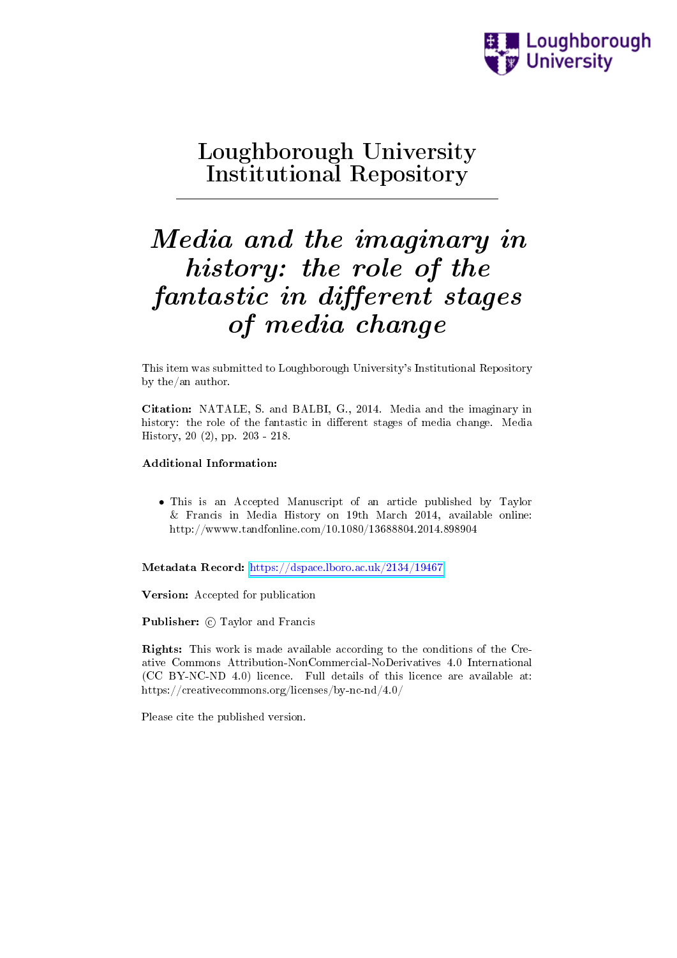

# Loughborough University Institutional Repository

# Media and the imaginary in history: the role of the fantastic in different stages of media change

This item was submitted to Loughborough University's Institutional Repository by the/an author.

Citation: NATALE, S. and BALBI, G., 2014. Media and the imaginary in history: the role of the fantastic in different stages of media change. Media History, 20 (2), pp. 203 - 218.

#### Additional Information:

• This is an Accepted Manuscript of an article published by Taylor & Francis in Media History on 19th March 2014, available online: http://wwww.tandfonline.com/10.1080/13688804.2014.898904

Metadata Record: <https://dspace.lboro.ac.uk/2134/19467>

Version: Accepted for publication

Publisher: © Taylor and Francis

Rights: This work is made available according to the conditions of the Creative Commons Attribution-NonCommercial-NoDerivatives 4.0 International (CC BY-NC-ND 4.0) licence. Full details of this licence are available at: https://creativecommons.org/licenses/by-nc-nd/4.0/

Please cite the published version.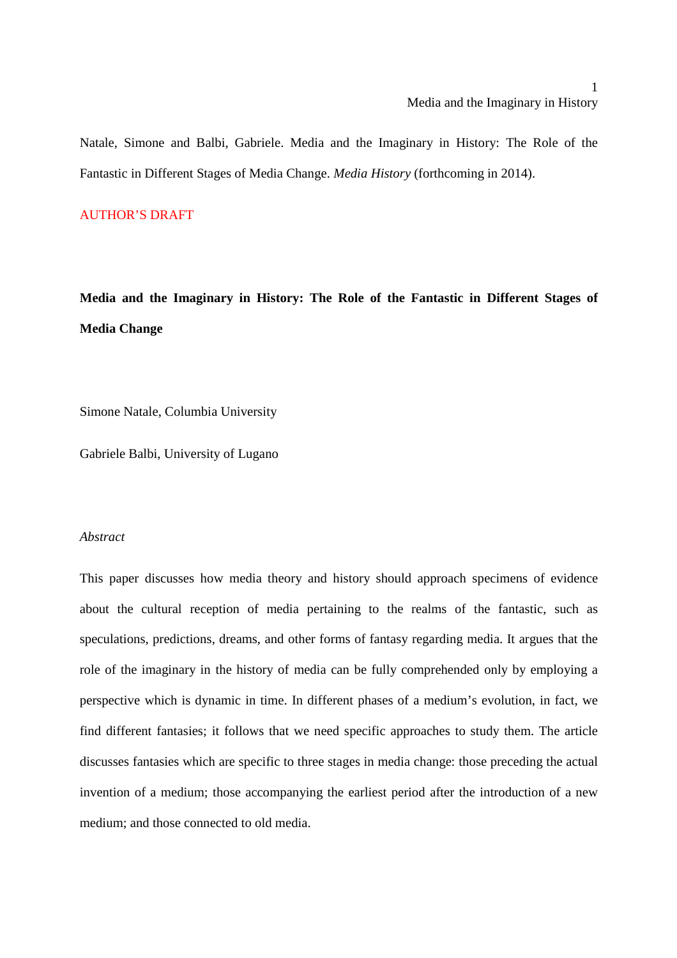Natale, Simone and Balbi, Gabriele. Media and the Imaginary in History: The Role of the Fantastic in Different Stages of Media Change. *Media History* (forthcoming in 2014).

#### AUTHOR'S DRAFT

**Media and the Imaginary in History: The Role of the Fantastic in Different Stages of Media Change**

Simone Natale, Columbia University

Gabriele Balbi, University of Lugano

#### *Abstract*

This paper discusses how media theory and history should approach specimens of evidence about the cultural reception of media pertaining to the realms of the fantastic, such as speculations, predictions, dreams, and other forms of fantasy regarding media. It argues that the role of the imaginary in the history of media can be fully comprehended only by employing a perspective which is dynamic in time. In different phases of a medium's evolution, in fact, we find different fantasies; it follows that we need specific approaches to study them. The article discusses fantasies which are specific to three stages in media change: those preceding the actual invention of a medium; those accompanying the earliest period after the introduction of a new medium; and those connected to old media.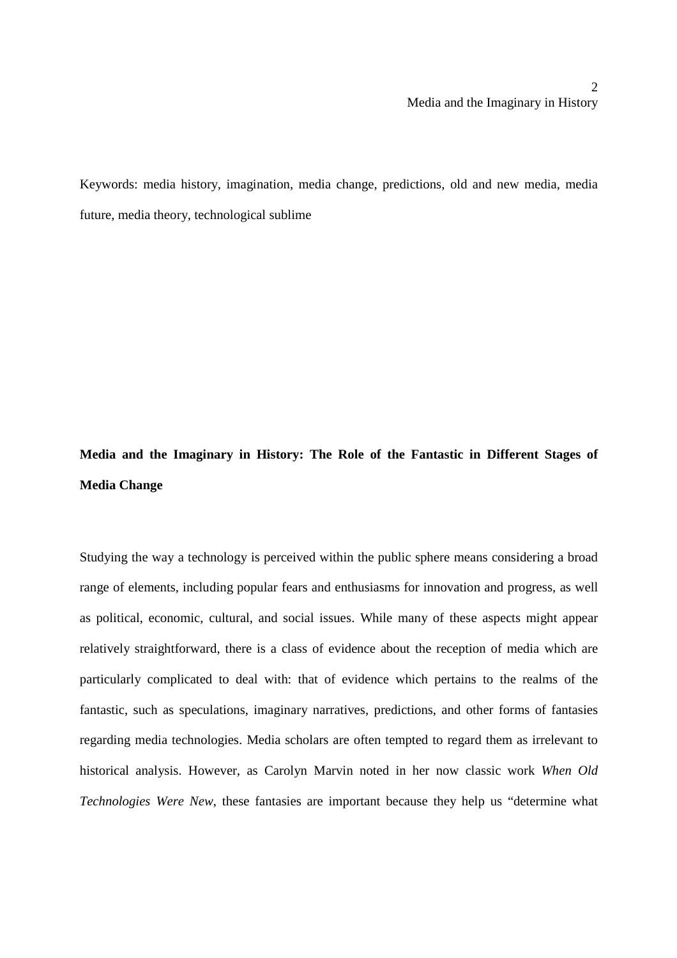Keywords: media history, imagination, media change, predictions, old and new media, media future, media theory, technological sublime

## **Media and the Imaginary in History: The Role of the Fantastic in Different Stages of Media Change**

Studying the way a technology is perceived within the public sphere means considering a broad range of elements, including popular fears and enthusiasms for innovation and progress, as well as political, economic, cultural, and social issues. While many of these aspects might appear relatively straightforward, there is a class of evidence about the reception of media which are particularly complicated to deal with: that of evidence which pertains to the realms of the fantastic, such as speculations, imaginary narratives, predictions, and other forms of fantasies regarding media technologies. Media scholars are often tempted to regard them as irrelevant to historical analysis. However, as Carolyn Marvin noted in her now classic work *When Old Technologies Were New*, these fantasies are important because they help us "determine what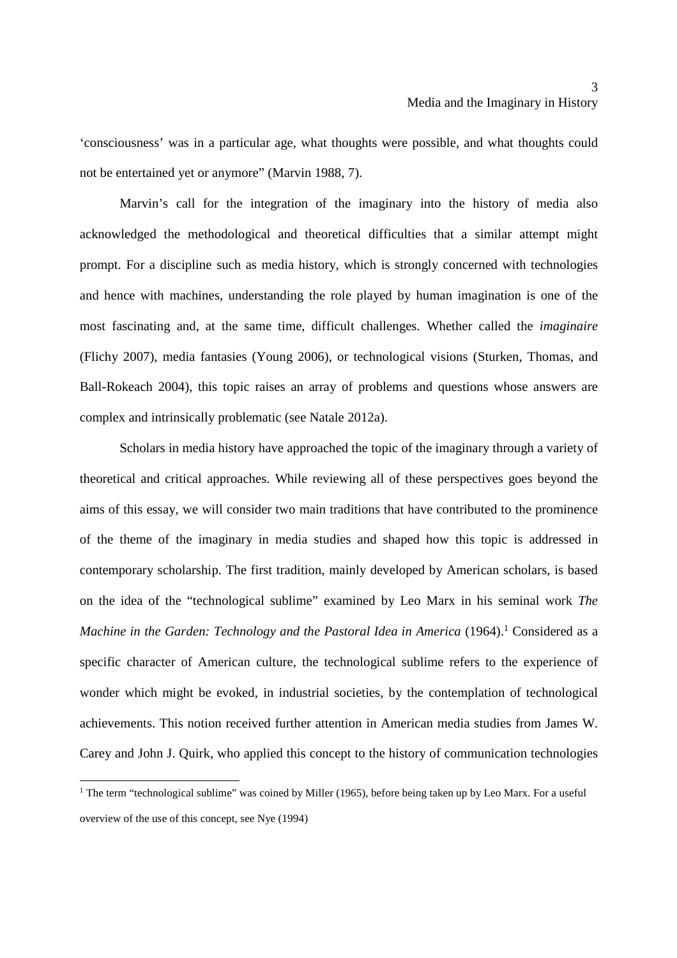'consciousness' was in a particular age, what thoughts were possible, and what thoughts could not be entertained yet or anymore" (Marvin 1988, 7).

Marvin's call for the integration of the imaginary into the history of media also acknowledged the methodological and theoretical difficulties that a similar attempt might prompt. For a discipline such as media history, which is strongly concerned with technologies and hence with machines, understanding the role played by human imagination is one of the most fascinating and, at the same time, difficult challenges. Whether called the *imaginaire* (Flichy 2007), media fantasies (Young 2006), or technological visions (Sturken, Thomas, and Ball-Rokeach 2004), this topic raises an array of problems and questions whose answers are complex and intrinsically problematic (see Natale 2012a).

Scholars in media history have approached the topic of the imaginary through a variety of theoretical and critical approaches. While reviewing all of these perspectives goes beyond the aims of this essay, we will consider two main traditions that have contributed to the prominence of the theme of the imaginary in media studies and shaped how this topic is addressed in contemporary scholarship. The first tradition, mainly developed by American scholars, is based on the idea of the "technological sublime" examined by Leo Marx in his seminal work *The*  Machine in the Garden: Technology and the Pastoral Idea in America (1964).<sup>1</sup> Considered as a specific character of American culture, the technological sublime refers to the experience of wonder which might be evoked, in industrial societies, by the contemplation of technological achievements. This notion received further attention in American media studies from James W. Carey and John J. Quirk, who applied this concept to the history of communication technologies

The term "technological sublime" was coined by Miller (1965), before being taken up by Leo Marx. For a useful<br><sup>1</sup> The term "technological sublime" was coined by Miller (1965), before being taken up by Leo Marx. For a usefu overview of the use of this concept, see Nye (1994)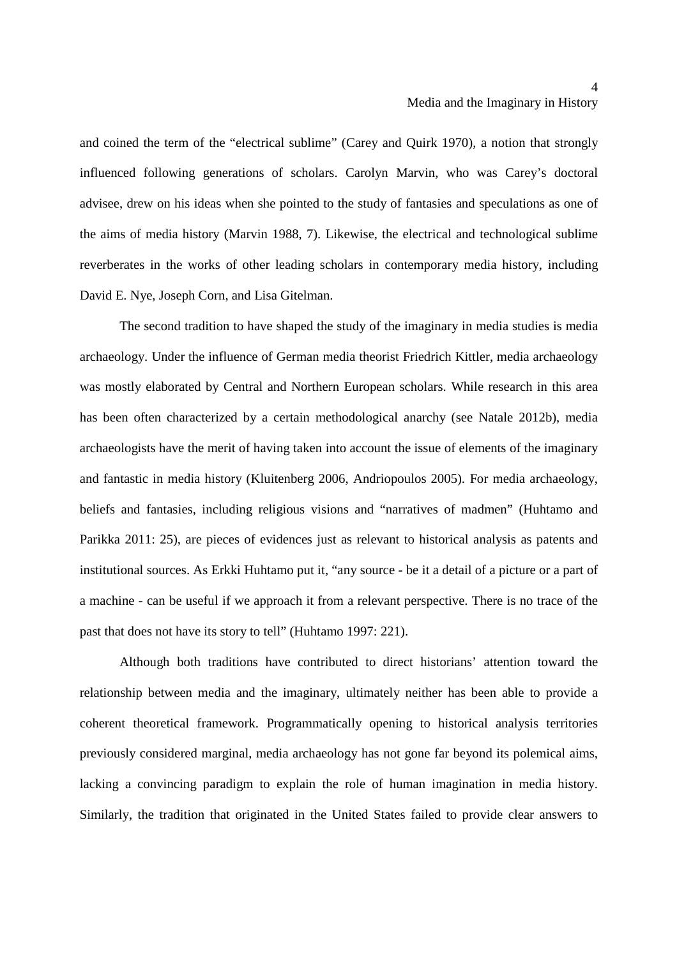$\Delta$ 

and coined the term of the "electrical sublime" (Carey and Quirk 1970), a notion that strongly influenced following generations of scholars. Carolyn Marvin, who was Carey's doctoral advisee, drew on his ideas when she pointed to the study of fantasies and speculations as one of the aims of media history (Marvin 1988, 7). Likewise, the electrical and technological sublime reverberates in the works of other leading scholars in contemporary media history, including David E. Nye, Joseph Corn, and Lisa Gitelman.

The second tradition to have shaped the study of the imaginary in media studies is media archaeology. Under the influence of German media theorist Friedrich Kittler, media archaeology was mostly elaborated by Central and Northern European scholars. While research in this area has been often characterized by a certain methodological anarchy (see Natale 2012b), media archaeologists have the merit of having taken into account the issue of elements of the imaginary and fantastic in media history (Kluitenberg 2006, Andriopoulos 2005). For media archaeology, beliefs and fantasies, including religious visions and "narratives of madmen" (Huhtamo and Parikka 2011: 25), are pieces of evidences just as relevant to historical analysis as patents and institutional sources. As Erkki Huhtamo put it, "any source - be it a detail of a picture or a part of a machine - can be useful if we approach it from a relevant perspective. There is no trace of the past that does not have its story to tell" (Huhtamo 1997: 221).

Although both traditions have contributed to direct historians' attention toward the relationship between media and the imaginary, ultimately neither has been able to provide a coherent theoretical framework. Programmatically opening to historical analysis territories previously considered marginal, media archaeology has not gone far beyond its polemical aims, lacking a convincing paradigm to explain the role of human imagination in media history. Similarly, the tradition that originated in the United States failed to provide clear answers to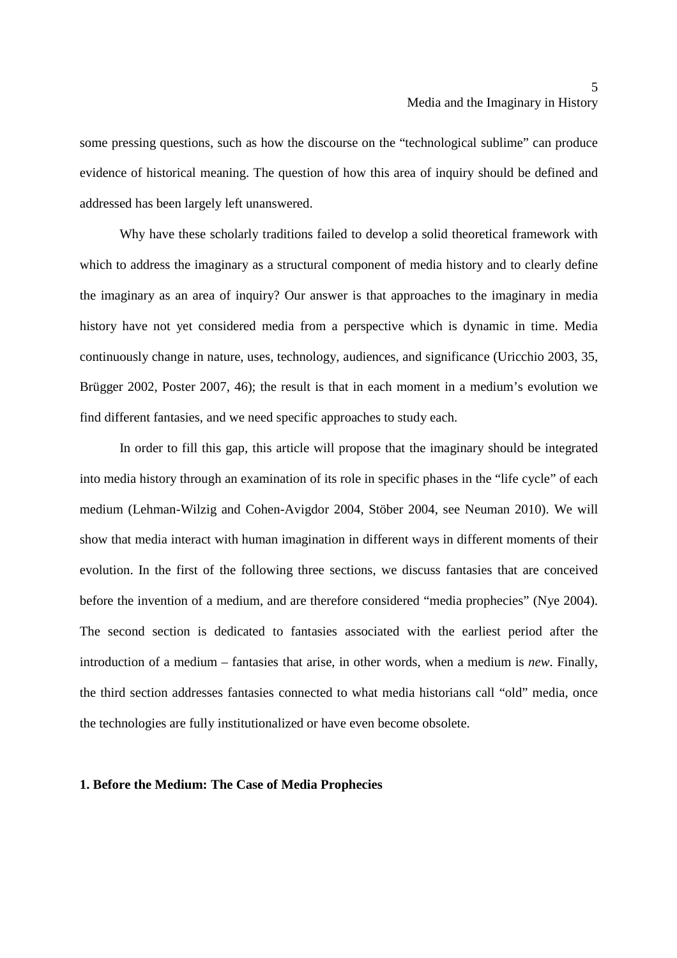5

some pressing questions, such as how the discourse on the "technological sublime" can produce evidence of historical meaning. The question of how this area of inquiry should be defined and addressed has been largely left unanswered.

Why have these scholarly traditions failed to develop a solid theoretical framework with which to address the imaginary as a structural component of media history and to clearly define the imaginary as an area of inquiry? Our answer is that approaches to the imaginary in media history have not yet considered media from a perspective which is dynamic in time. Media continuously change in nature, uses, technology, audiences, and significance (Uricchio 2003, 35, Brügger 2002, Poster 2007, 46); the result is that in each moment in a medium's evolution we find different fantasies, and we need specific approaches to study each.

In order to fill this gap, this article will propose that the imaginary should be integrated into media history through an examination of its role in specific phases in the "life cycle" of each medium (Lehman-Wilzig and Cohen-Avigdor 2004, Stöber 2004, see Neuman 2010). We will show that media interact with human imagination in different ways in different moments of their evolution. In the first of the following three sections, we discuss fantasies that are conceived before the invention of a medium, and are therefore considered "media prophecies" (Nye 2004). The second section is dedicated to fantasies associated with the earliest period after the introduction of a medium – fantasies that arise, in other words, when a medium is *new*. Finally, the third section addresses fantasies connected to what media historians call "old" media, once the technologies are fully institutionalized or have even become obsolete.

#### **1. Before the Medium: The Case of Media Prophecies**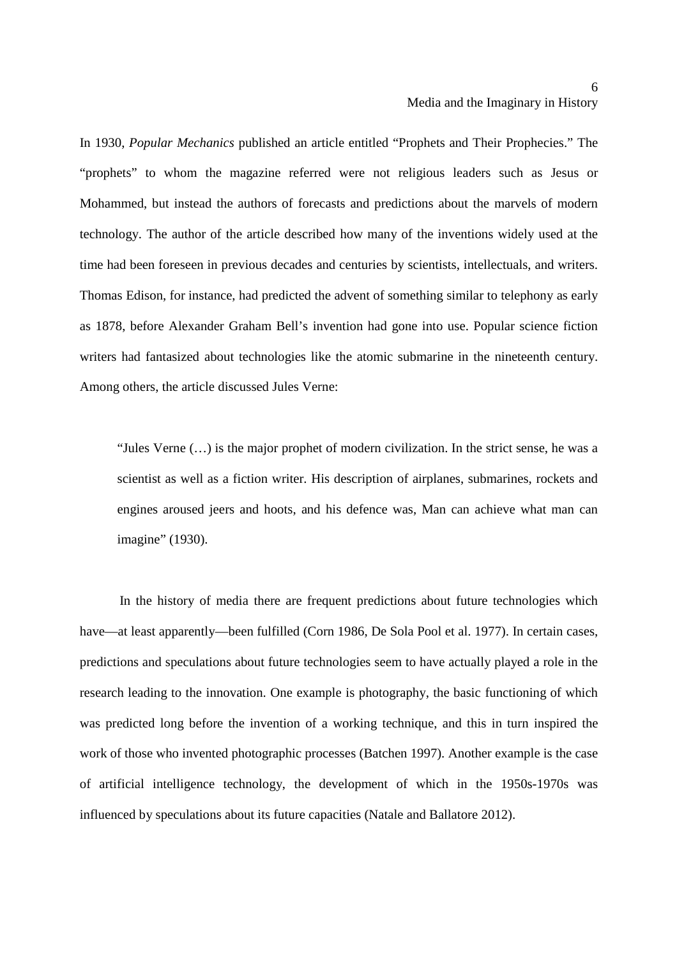In 1930, *Popular Mechanics* published an article entitled "Prophets and Their Prophecies." The "prophets" to whom the magazine referred were not religious leaders such as Jesus or Mohammed, but instead the authors of forecasts and predictions about the marvels of modern technology. The author of the article described how many of the inventions widely used at the time had been foreseen in previous decades and centuries by scientists, intellectuals, and writers. Thomas Edison, for instance, had predicted the advent of something similar to telephony as early as 1878, before Alexander Graham Bell's invention had gone into use. Popular science fiction writers had fantasized about technologies like the atomic submarine in the nineteenth century. Among others, the article discussed Jules Verne:

"Jules Verne (…) is the major prophet of modern civilization. In the strict sense, he was a scientist as well as a fiction writer. His description of airplanes, submarines, rockets and engines aroused jeers and hoots, and his defence was, Man can achieve what man can imagine" (1930).

In the history of media there are frequent predictions about future technologies which have—at least apparently—been fulfilled (Corn 1986, De Sola Pool et al. 1977). In certain cases, predictions and speculations about future technologies seem to have actually played a role in the research leading to the innovation. One example is photography, the basic functioning of which was predicted long before the invention of a working technique, and this in turn inspired the work of those who invented photographic processes (Batchen 1997). Another example is the case of artificial intelligence technology, the development of which in the 1950s-1970s was influenced by speculations about its future capacities (Natale and Ballatore 2012).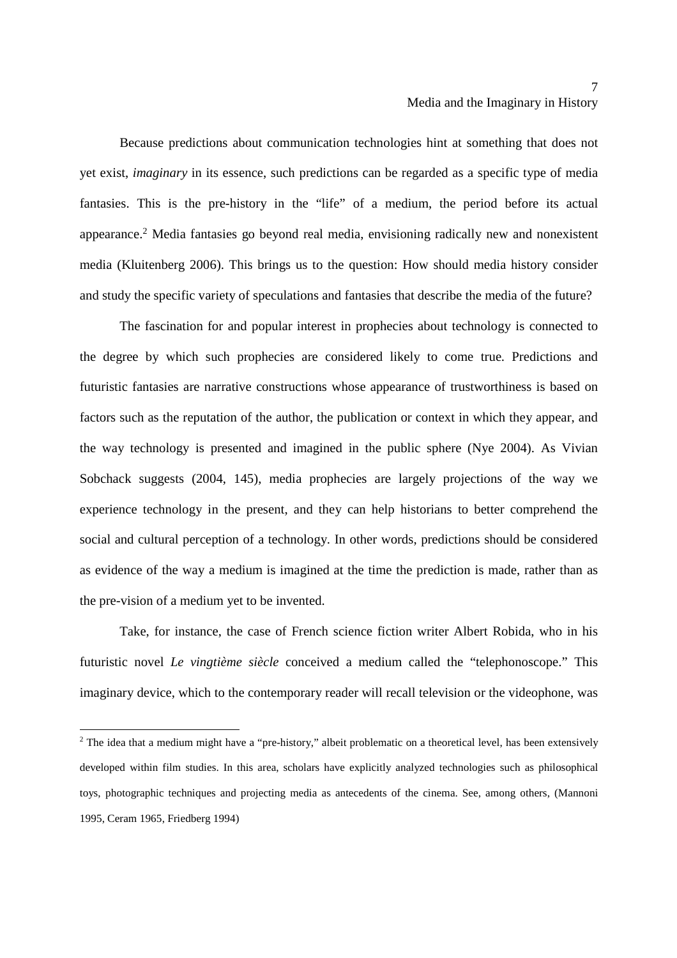## Media and the Imaginary in History

Because predictions about communication technologies hint at something that does not yet exist, *imaginary* in its essence, such predictions can be regarded as a specific type of media fantasies. This is the pre-history in the "life" of a medium, the period before its actual appearance.<sup>2</sup> Media fantasies go beyond real media, envisioning radically new and nonexistent media (Kluitenberg 2006). This brings us to the question: How should media history consider and study the specific variety of speculations and fantasies that describe the media of the future?

The fascination for and popular interest in prophecies about technology is connected to the degree by which such prophecies are considered likely to come true. Predictions and futuristic fantasies are narrative constructions whose appearance of trustworthiness is based on factors such as the reputation of the author, the publication or context in which they appear, and the way technology is presented and imagined in the public sphere (Nye 2004). As Vivian Sobchack suggests (2004, 145), media prophecies are largely projections of the way we experience technology in the present, and they can help historians to better comprehend the social and cultural perception of a technology. In other words, predictions should be considered as evidence of the way a medium is imagined at the time the prediction is made, rather than as the pre-vision of a medium yet to be invented.

Take, for instance, the case of French science fiction writer Albert Robida, who in his futuristic novel *Le vingtième siècle* conceived a medium called the "telephonoscope." This imaginary device, which to the contemporary reader will recall television or the videophone, was

-

<sup>&</sup>lt;sup>2</sup> The idea that a medium might have a "pre-history," albeit problematic on a theoretical level, has been extensively developed within film studies. In this area, scholars have explicitly analyzed technologies such as philosophical toys, photographic techniques and projecting media as antecedents of the cinema. See, among others, (Mannoni 1995, Ceram 1965, Friedberg 1994)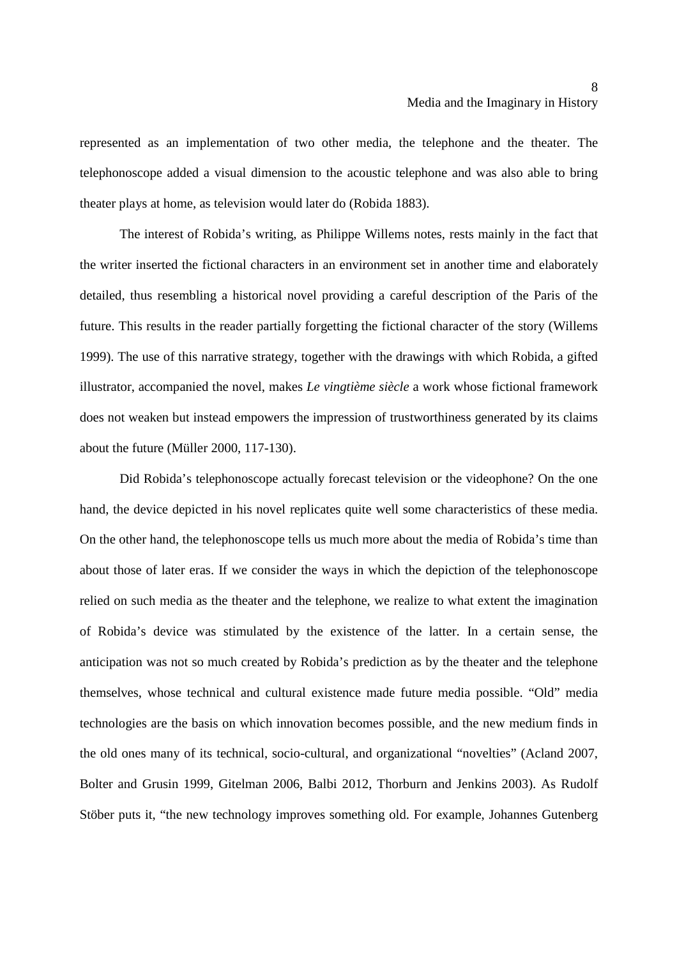represented as an implementation of two other media, the telephone and the theater. The telephonoscope added a visual dimension to the acoustic telephone and was also able to bring theater plays at home, as television would later do (Robida 1883).

The interest of Robida's writing, as Philippe Willems notes, rests mainly in the fact that the writer inserted the fictional characters in an environment set in another time and elaborately detailed, thus resembling a historical novel providing a careful description of the Paris of the future. This results in the reader partially forgetting the fictional character of the story (Willems 1999). The use of this narrative strategy, together with the drawings with which Robida, a gifted illustrator, accompanied the novel, makes *Le vingtième siècle* a work whose fictional framework does not weaken but instead empowers the impression of trustworthiness generated by its claims about the future (Müller 2000, 117-130).

Did Robida's telephonoscope actually forecast television or the videophone? On the one hand, the device depicted in his novel replicates quite well some characteristics of these media. On the other hand, the telephonoscope tells us much more about the media of Robida's time than about those of later eras. If we consider the ways in which the depiction of the telephonoscope relied on such media as the theater and the telephone, we realize to what extent the imagination of Robida's device was stimulated by the existence of the latter. In a certain sense, the anticipation was not so much created by Robida's prediction as by the theater and the telephone themselves, whose technical and cultural existence made future media possible. "Old" media technologies are the basis on which innovation becomes possible, and the new medium finds in the old ones many of its technical, socio-cultural, and organizational "novelties" (Acland 2007, Bolter and Grusin 1999, Gitelman 2006, Balbi 2012, Thorburn and Jenkins 2003). As Rudolf Stöber puts it, "the new technology improves something old. For example, Johannes Gutenberg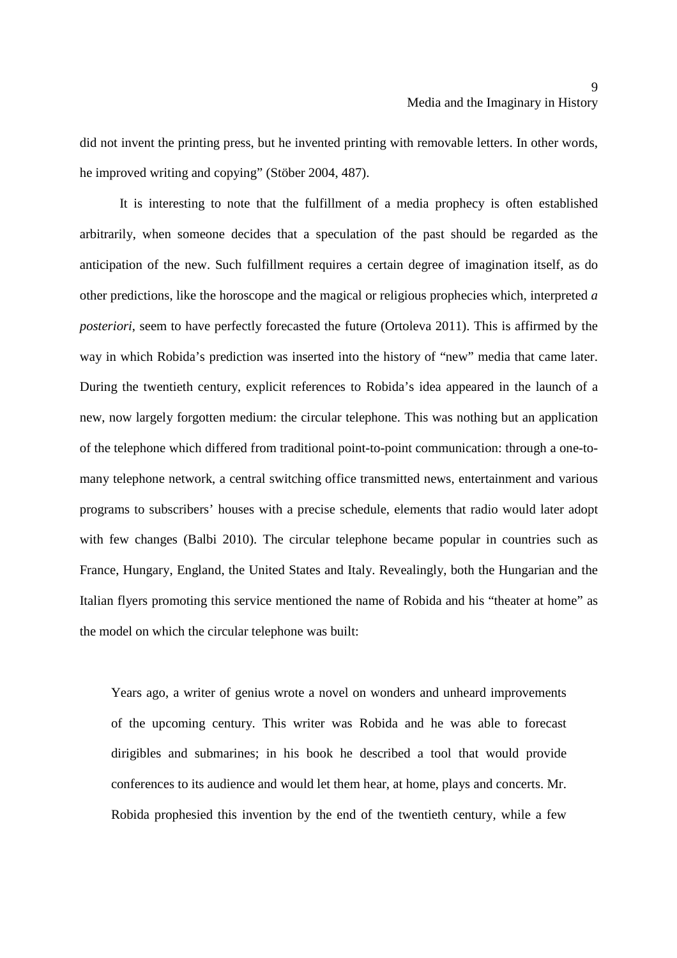9

did not invent the printing press, but he invented printing with removable letters. In other words, he improved writing and copying" (Stöber 2004, 487).

It is interesting to note that the fulfillment of a media prophecy is often established arbitrarily, when someone decides that a speculation of the past should be regarded as the anticipation of the new. Such fulfillment requires a certain degree of imagination itself, as do other predictions, like the horoscope and the magical or religious prophecies which, interpreted *a posteriori*, seem to have perfectly forecasted the future (Ortoleva 2011). This is affirmed by the way in which Robida's prediction was inserted into the history of "new" media that came later. During the twentieth century, explicit references to Robida's idea appeared in the launch of a new, now largely forgotten medium: the circular telephone. This was nothing but an application of the telephone which differed from traditional point-to-point communication: through a one-tomany telephone network, a central switching office transmitted news, entertainment and various programs to subscribers' houses with a precise schedule, elements that radio would later adopt with few changes (Balbi 2010). The circular telephone became popular in countries such as France, Hungary, England, the United States and Italy. Revealingly, both the Hungarian and the Italian flyers promoting this service mentioned the name of Robida and his "theater at home" as the model on which the circular telephone was built:

Years ago, a writer of genius wrote a novel on wonders and unheard improvements of the upcoming century. This writer was Robida and he was able to forecast dirigibles and submarines; in his book he described a tool that would provide conferences to its audience and would let them hear, at home, plays and concerts. Mr. Robida prophesied this invention by the end of the twentieth century, while a few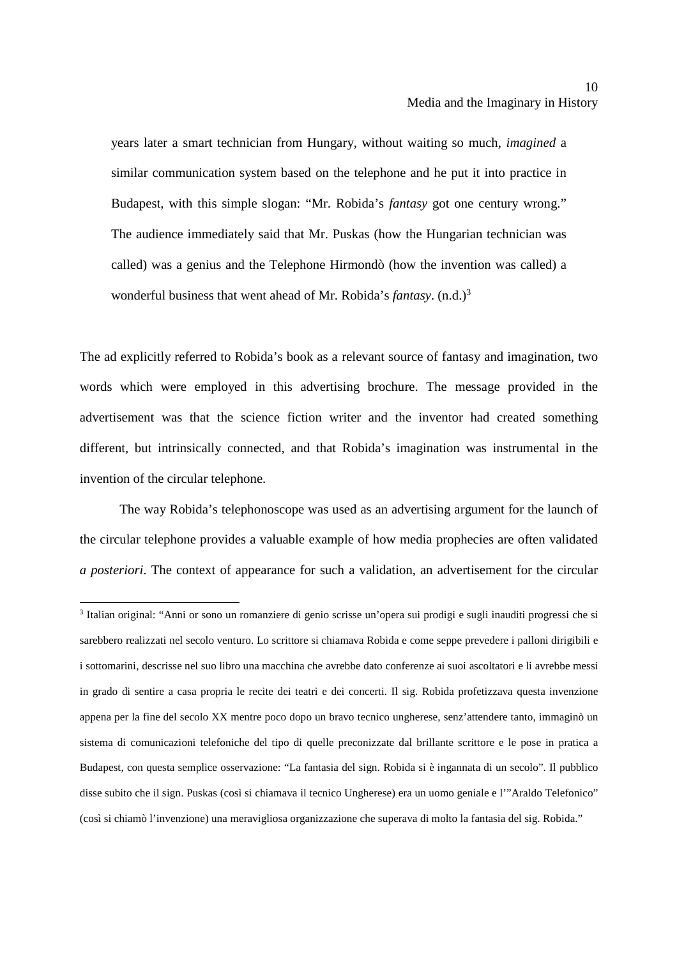years later a smart technician from Hungary, without waiting so much, *imagined* a similar communication system based on the telephone and he put it into practice in Budapest, with this simple slogan: "Mr. Robida's *fantasy* got one century wrong." The audience immediately said that Mr. Puskas (how the Hungarian technician was called) was a genius and the Telephone Hirmondò (how the invention was called) a wonderful business that went ahead of Mr. Robida's *fantasy*. (n.d.)<sup>3</sup>

The ad explicitly referred to Robida's book as a relevant source of fantasy and imagination, two words which were employed in this advertising brochure. The message provided in the advertisement was that the science fiction writer and the inventor had created something different, but intrinsically connected, and that Robida's imagination was instrumental in the invention of the circular telephone.

 The way Robida's telephonoscope was used as an advertising argument for the launch of the circular telephone provides a valuable example of how media prophecies are often validated *a posteriori*. The context of appearance for such a validation, an advertisement for the circular

-

<sup>3</sup> Italian original: "Anni or sono un romanziere di genio scrisse un'opera sui prodigi e sugli inauditi progressi che si sarebbero realizzati nel secolo venturo. Lo scrittore si chiamava Robida e come seppe prevedere i palloni dirigibili e i sottomarini, descrisse nel suo libro una macchina che avrebbe dato conferenze ai suoi ascoltatori e li avrebbe messi in grado di sentire a casa propria le recite dei teatri e dei concerti. Il sig. Robida profetizzava questa invenzione appena per la fine del secolo XX mentre poco dopo un bravo tecnico ungherese, senz'attendere tanto, immaginò un sistema di comunicazioni telefoniche del tipo di quelle preconizzate dal brillante scrittore e le pose in pratica a Budapest, con questa semplice osservazione: "La fantasia del sign. Robida si è ingannata di un secolo". Il pubblico disse subito che il sign. Puskas (così si chiamava il tecnico Ungherese) era un uomo geniale e l'"Araldo Telefonico" (così si chiamò l'invenzione) una meravigliosa organizzazione che superava di molto la fantasia del sig. Robida."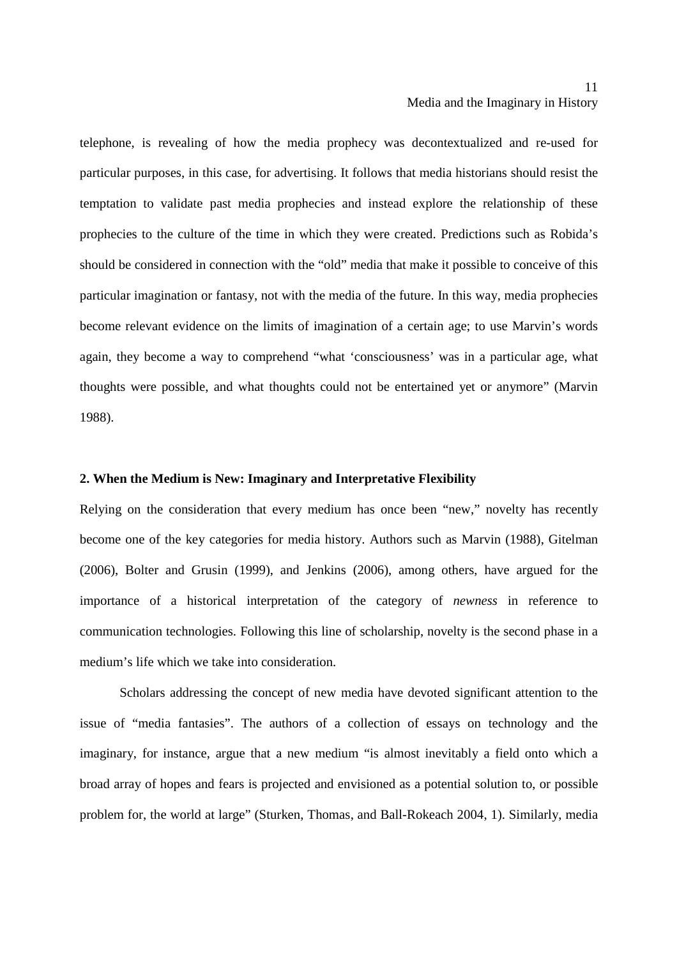telephone, is revealing of how the media prophecy was decontextualized and re-used for particular purposes, in this case, for advertising. It follows that media historians should resist the temptation to validate past media prophecies and instead explore the relationship of these prophecies to the culture of the time in which they were created. Predictions such as Robida's should be considered in connection with the "old" media that make it possible to conceive of this particular imagination or fantasy, not with the media of the future. In this way, media prophecies become relevant evidence on the limits of imagination of a certain age; to use Marvin's words again, they become a way to comprehend "what 'consciousness' was in a particular age, what thoughts were possible, and what thoughts could not be entertained yet or anymore" (Marvin 1988).

### **2. When the Medium is New: Imaginary and Interpretative Flexibility**

Relying on the consideration that every medium has once been "new," novelty has recently become one of the key categories for media history. Authors such as Marvin (1988), Gitelman (2006), Bolter and Grusin (1999), and Jenkins (2006), among others, have argued for the importance of a historical interpretation of the category of *newness* in reference to communication technologies. Following this line of scholarship, novelty is the second phase in a medium's life which we take into consideration.

Scholars addressing the concept of new media have devoted significant attention to the issue of "media fantasies". The authors of a collection of essays on technology and the imaginary, for instance, argue that a new medium "is almost inevitably a field onto which a broad array of hopes and fears is projected and envisioned as a potential solution to, or possible problem for, the world at large" (Sturken, Thomas, and Ball-Rokeach 2004, 1). Similarly, media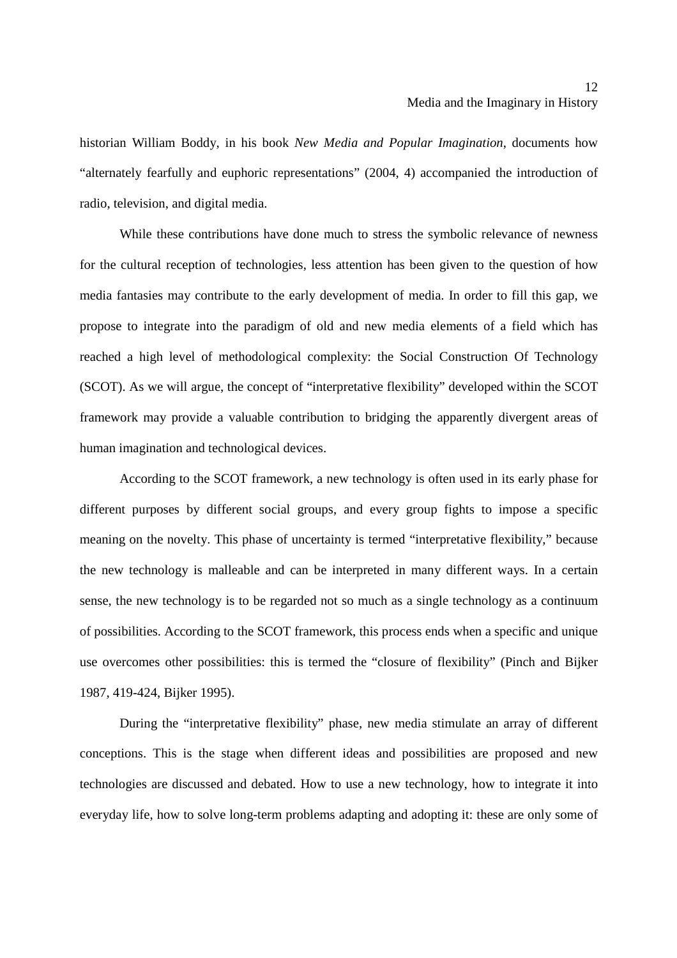historian William Boddy, in his book *New Media and Popular Imagination*, documents how "alternately fearfully and euphoric representations" (2004, 4) accompanied the introduction of radio, television, and digital media.

While these contributions have done much to stress the symbolic relevance of newness for the cultural reception of technologies, less attention has been given to the question of how media fantasies may contribute to the early development of media. In order to fill this gap, we propose to integrate into the paradigm of old and new media elements of a field which has reached a high level of methodological complexity: the Social Construction Of Technology (SCOT). As we will argue, the concept of "interpretative flexibility" developed within the SCOT framework may provide a valuable contribution to bridging the apparently divergent areas of human imagination and technological devices.

According to the SCOT framework, a new technology is often used in its early phase for different purposes by different social groups, and every group fights to impose a specific meaning on the novelty. This phase of uncertainty is termed "interpretative flexibility," because the new technology is malleable and can be interpreted in many different ways. In a certain sense, the new technology is to be regarded not so much as a single technology as a continuum of possibilities. According to the SCOT framework, this process ends when a specific and unique use overcomes other possibilities: this is termed the "closure of flexibility" (Pinch and Bijker 1987, 419-424, Bijker 1995).

During the "interpretative flexibility" phase, new media stimulate an array of different conceptions. This is the stage when different ideas and possibilities are proposed and new technologies are discussed and debated. How to use a new technology, how to integrate it into everyday life, how to solve long-term problems adapting and adopting it: these are only some of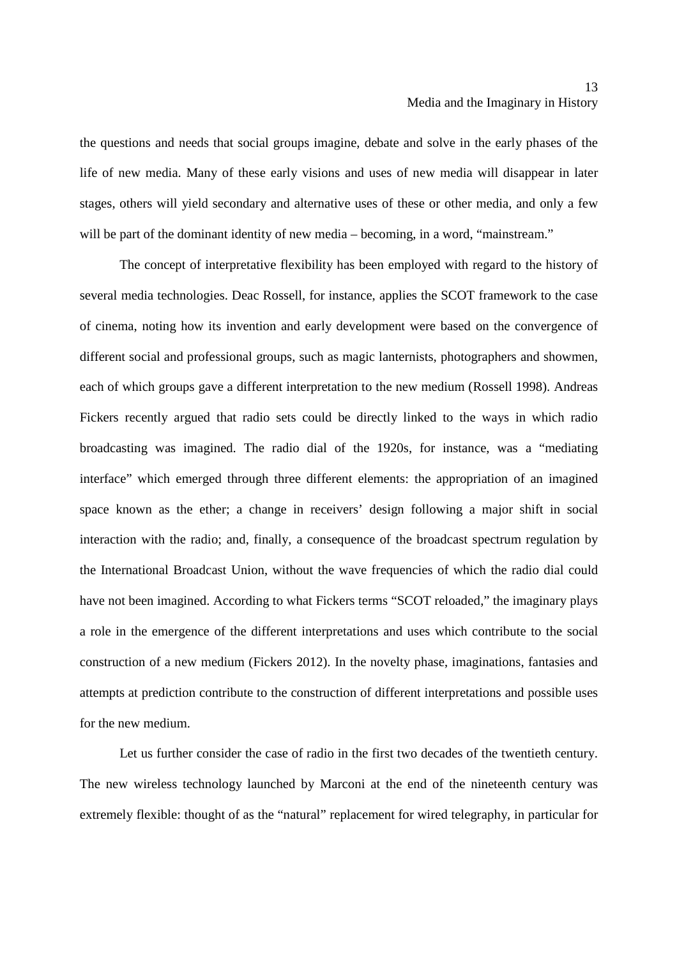the questions and needs that social groups imagine, debate and solve in the early phases of the life of new media. Many of these early visions and uses of new media will disappear in later stages, others will yield secondary and alternative uses of these or other media, and only a few will be part of the dominant identity of new media – becoming, in a word, "mainstream."

The concept of interpretative flexibility has been employed with regard to the history of several media technologies. Deac Rossell, for instance, applies the SCOT framework to the case of cinema, noting how its invention and early development were based on the convergence of different social and professional groups, such as magic lanternists, photographers and showmen, each of which groups gave a different interpretation to the new medium (Rossell 1998). Andreas Fickers recently argued that radio sets could be directly linked to the ways in which radio broadcasting was imagined. The radio dial of the 1920s, for instance, was a "mediating interface" which emerged through three different elements: the appropriation of an imagined space known as the ether; a change in receivers' design following a major shift in social interaction with the radio; and, finally, a consequence of the broadcast spectrum regulation by the International Broadcast Union, without the wave frequencies of which the radio dial could have not been imagined. According to what Fickers terms "SCOT reloaded," the imaginary plays a role in the emergence of the different interpretations and uses which contribute to the social construction of a new medium (Fickers 2012). In the novelty phase, imaginations, fantasies and attempts at prediction contribute to the construction of different interpretations and possible uses for the new medium.

Let us further consider the case of radio in the first two decades of the twentieth century. The new wireless technology launched by Marconi at the end of the nineteenth century was extremely flexible: thought of as the "natural" replacement for wired telegraphy, in particular for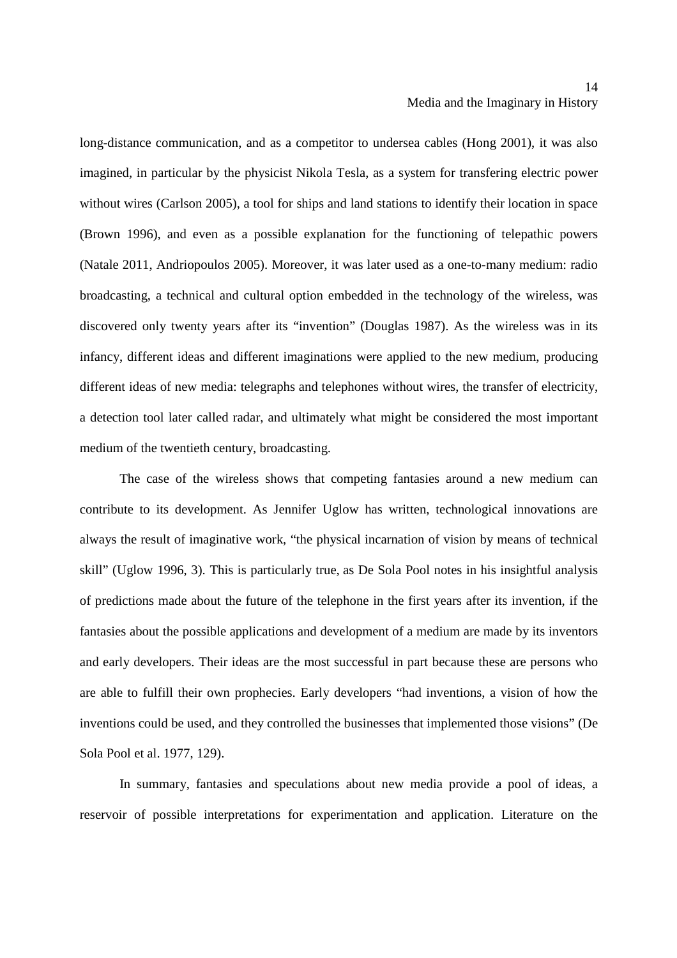long-distance communication, and as a competitor to undersea cables (Hong 2001), it was also imagined, in particular by the physicist Nikola Tesla, as a system for transfering electric power without wires (Carlson 2005), a tool for ships and land stations to identify their location in space (Brown 1996), and even as a possible explanation for the functioning of telepathic powers (Natale 2011, Andriopoulos 2005). Moreover, it was later used as a one-to-many medium: radio broadcasting, a technical and cultural option embedded in the technology of the wireless, was discovered only twenty years after its "invention" (Douglas 1987). As the wireless was in its infancy, different ideas and different imaginations were applied to the new medium, producing different ideas of new media: telegraphs and telephones without wires, the transfer of electricity, a detection tool later called radar, and ultimately what might be considered the most important medium of the twentieth century, broadcasting.

The case of the wireless shows that competing fantasies around a new medium can contribute to its development. As Jennifer Uglow has written, technological innovations are always the result of imaginative work, "the physical incarnation of vision by means of technical skill" (Uglow 1996, 3). This is particularly true, as De Sola Pool notes in his insightful analysis of predictions made about the future of the telephone in the first years after its invention, if the fantasies about the possible applications and development of a medium are made by its inventors and early developers. Their ideas are the most successful in part because these are persons who are able to fulfill their own prophecies. Early developers "had inventions, a vision of how the inventions could be used, and they controlled the businesses that implemented those visions" (De Sola Pool et al. 1977, 129).

In summary, fantasies and speculations about new media provide a pool of ideas, a reservoir of possible interpretations for experimentation and application. Literature on the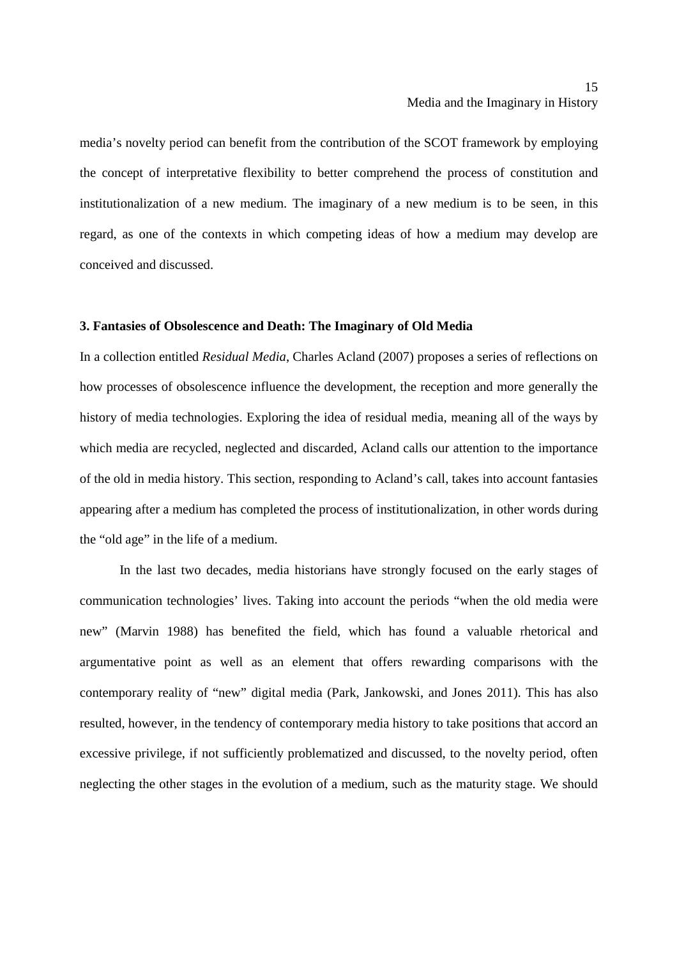media's novelty period can benefit from the contribution of the SCOT framework by employing the concept of interpretative flexibility to better comprehend the process of constitution and institutionalization of a new medium. The imaginary of a new medium is to be seen, in this regard, as one of the contexts in which competing ideas of how a medium may develop are conceived and discussed.

#### **3. Fantasies of Obsolescence and Death: The Imaginary of Old Media**

In a collection entitled *Residual Media*, Charles Acland (2007) proposes a series of reflections on how processes of obsolescence influence the development, the reception and more generally the history of media technologies. Exploring the idea of residual media, meaning all of the ways by which media are recycled, neglected and discarded, Acland calls our attention to the importance of the old in media history. This section, responding to Acland's call, takes into account fantasies appearing after a medium has completed the process of institutionalization, in other words during the "old age" in the life of a medium.

In the last two decades, media historians have strongly focused on the early stages of communication technologies' lives. Taking into account the periods "when the old media were new" (Marvin 1988) has benefited the field, which has found a valuable rhetorical and argumentative point as well as an element that offers rewarding comparisons with the contemporary reality of "new" digital media (Park, Jankowski, and Jones 2011). This has also resulted, however, in the tendency of contemporary media history to take positions that accord an excessive privilege, if not sufficiently problematized and discussed, to the novelty period, often neglecting the other stages in the evolution of a medium, such as the maturity stage. We should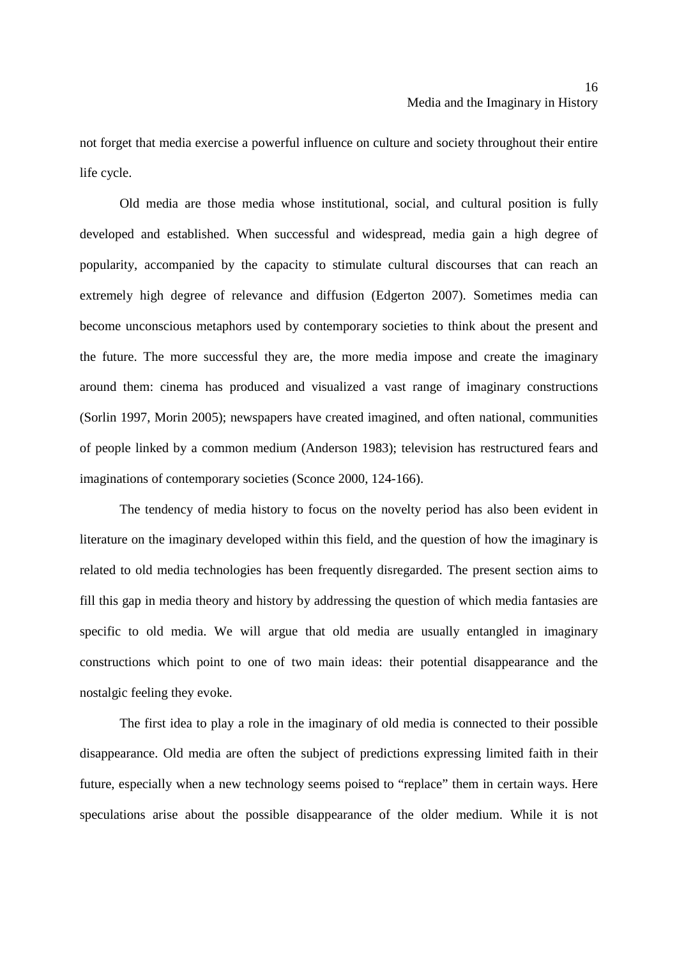not forget that media exercise a powerful influence on culture and society throughout their entire life cycle.

Old media are those media whose institutional, social, and cultural position is fully developed and established. When successful and widespread, media gain a high degree of popularity, accompanied by the capacity to stimulate cultural discourses that can reach an extremely high degree of relevance and diffusion (Edgerton 2007). Sometimes media can become unconscious metaphors used by contemporary societies to think about the present and the future. The more successful they are, the more media impose and create the imaginary around them: cinema has produced and visualized a vast range of imaginary constructions (Sorlin 1997, Morin 2005); newspapers have created imagined, and often national, communities of people linked by a common medium (Anderson 1983); television has restructured fears and imaginations of contemporary societies (Sconce 2000, 124-166).

The tendency of media history to focus on the novelty period has also been evident in literature on the imaginary developed within this field, and the question of how the imaginary is related to old media technologies has been frequently disregarded. The present section aims to fill this gap in media theory and history by addressing the question of which media fantasies are specific to old media. We will argue that old media are usually entangled in imaginary constructions which point to one of two main ideas: their potential disappearance and the nostalgic feeling they evoke.

 The first idea to play a role in the imaginary of old media is connected to their possible disappearance. Old media are often the subject of predictions expressing limited faith in their future, especially when a new technology seems poised to "replace" them in certain ways. Here speculations arise about the possible disappearance of the older medium. While it is not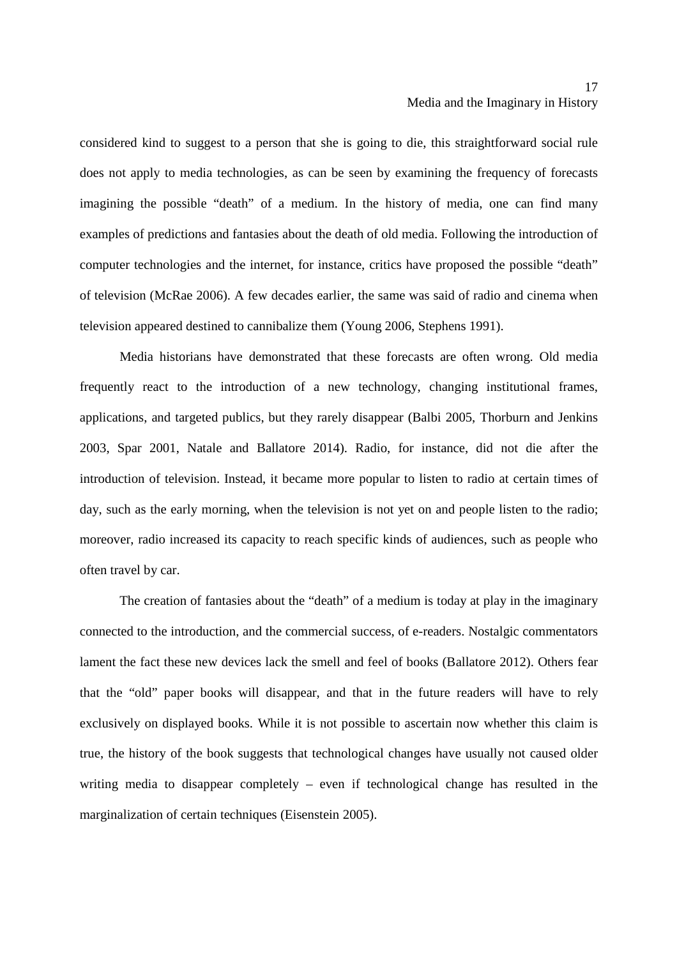considered kind to suggest to a person that she is going to die, this straightforward social rule does not apply to media technologies, as can be seen by examining the frequency of forecasts imagining the possible "death" of a medium. In the history of media, one can find many examples of predictions and fantasies about the death of old media. Following the introduction of computer technologies and the internet, for instance, critics have proposed the possible "death" of television (McRae 2006). A few decades earlier, the same was said of radio and cinema when television appeared destined to cannibalize them (Young 2006, Stephens 1991).

Media historians have demonstrated that these forecasts are often wrong. Old media frequently react to the introduction of a new technology, changing institutional frames, applications, and targeted publics, but they rarely disappear (Balbi 2005, Thorburn and Jenkins 2003, Spar 2001, Natale and Ballatore 2014). Radio, for instance, did not die after the introduction of television. Instead, it became more popular to listen to radio at certain times of day, such as the early morning, when the television is not yet on and people listen to the radio; moreover, radio increased its capacity to reach specific kinds of audiences, such as people who often travel by car.

The creation of fantasies about the "death" of a medium is today at play in the imaginary connected to the introduction, and the commercial success, of e-readers. Nostalgic commentators lament the fact these new devices lack the smell and feel of books (Ballatore 2012). Others fear that the "old" paper books will disappear, and that in the future readers will have to rely exclusively on displayed books. While it is not possible to ascertain now whether this claim is true, the history of the book suggests that technological changes have usually not caused older writing media to disappear completely – even if technological change has resulted in the marginalization of certain techniques (Eisenstein 2005).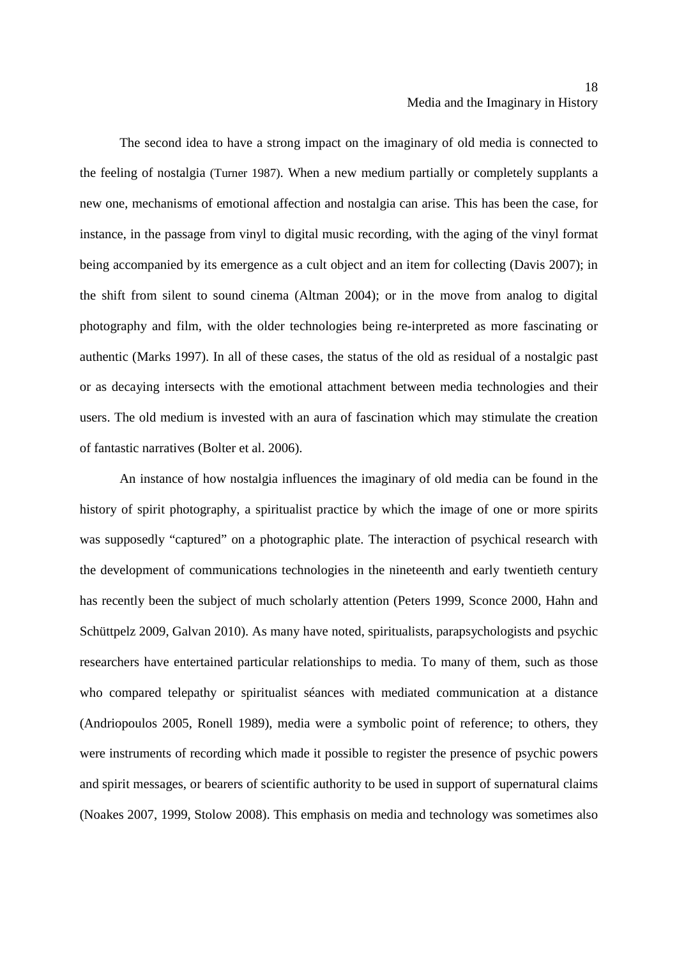The second idea to have a strong impact on the imaginary of old media is connected to the feeling of nostalgia (Turner 1987). When a new medium partially or completely supplants a new one, mechanisms of emotional affection and nostalgia can arise. This has been the case, for instance, in the passage from vinyl to digital music recording, with the aging of the vinyl format being accompanied by its emergence as a cult object and an item for collecting (Davis 2007); in the shift from silent to sound cinema (Altman 2004); or in the move from analog to digital photography and film, with the older technologies being re-interpreted as more fascinating or authentic (Marks 1997). In all of these cases, the status of the old as residual of a nostalgic past or as decaying intersects with the emotional attachment between media technologies and their users. The old medium is invested with an aura of fascination which may stimulate the creation of fantastic narratives (Bolter et al. 2006).

An instance of how nostalgia influences the imaginary of old media can be found in the history of spirit photography, a spiritualist practice by which the image of one or more spirits was supposedly "captured" on a photographic plate. The interaction of psychical research with the development of communications technologies in the nineteenth and early twentieth century has recently been the subject of much scholarly attention (Peters 1999, Sconce 2000, Hahn and Schüttpelz 2009, Galvan 2010). As many have noted, spiritualists, parapsychologists and psychic researchers have entertained particular relationships to media. To many of them, such as those who compared telepathy or spiritualist séances with mediated communication at a distance (Andriopoulos 2005, Ronell 1989), media were a symbolic point of reference; to others, they were instruments of recording which made it possible to register the presence of psychic powers and spirit messages, or bearers of scientific authority to be used in support of supernatural claims (Noakes 2007, 1999, Stolow 2008). This emphasis on media and technology was sometimes also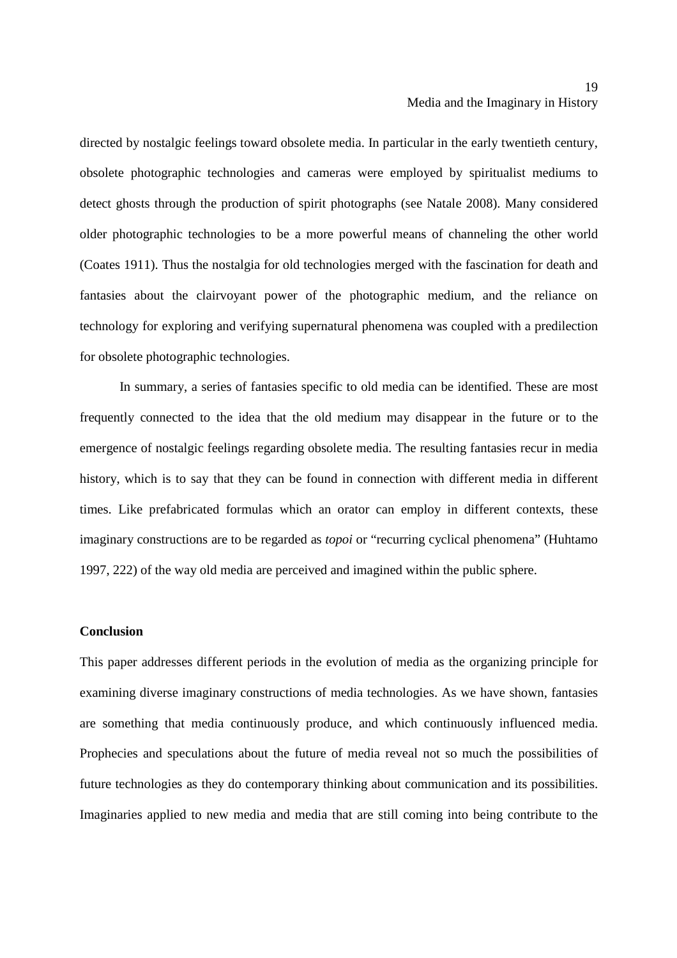directed by nostalgic feelings toward obsolete media. In particular in the early twentieth century, obsolete photographic technologies and cameras were employed by spiritualist mediums to detect ghosts through the production of spirit photographs (see Natale 2008). Many considered older photographic technologies to be a more powerful means of channeling the other world (Coates 1911). Thus the nostalgia for old technologies merged with the fascination for death and fantasies about the clairvoyant power of the photographic medium, and the reliance on technology for exploring and verifying supernatural phenomena was coupled with a predilection for obsolete photographic technologies.

In summary, a series of fantasies specific to old media can be identified. These are most frequently connected to the idea that the old medium may disappear in the future or to the emergence of nostalgic feelings regarding obsolete media. The resulting fantasies recur in media history, which is to say that they can be found in connection with different media in different times. Like prefabricated formulas which an orator can employ in different contexts, these imaginary constructions are to be regarded as *topoi* or "recurring cyclical phenomena" (Huhtamo 1997, 222) of the way old media are perceived and imagined within the public sphere.

#### **Conclusion**

This paper addresses different periods in the evolution of media as the organizing principle for examining diverse imaginary constructions of media technologies. As we have shown, fantasies are something that media continuously produce, and which continuously influenced media. Prophecies and speculations about the future of media reveal not so much the possibilities of future technologies as they do contemporary thinking about communication and its possibilities. Imaginaries applied to new media and media that are still coming into being contribute to the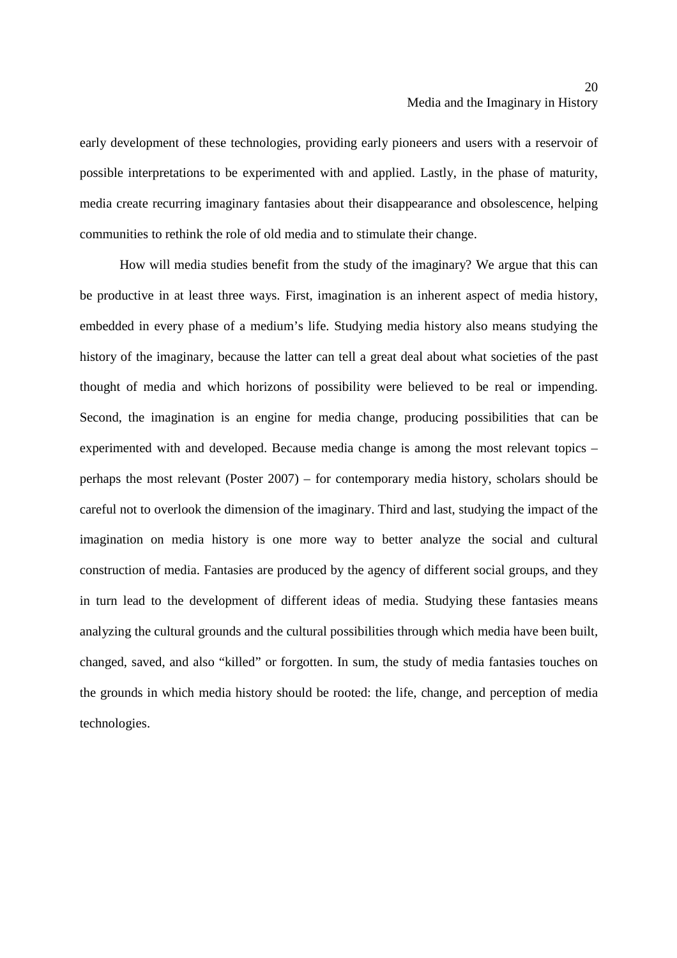early development of these technologies, providing early pioneers and users with a reservoir of possible interpretations to be experimented with and applied. Lastly, in the phase of maturity, media create recurring imaginary fantasies about their disappearance and obsolescence, helping communities to rethink the role of old media and to stimulate their change.

How will media studies benefit from the study of the imaginary? We argue that this can be productive in at least three ways. First, imagination is an inherent aspect of media history, embedded in every phase of a medium's life. Studying media history also means studying the history of the imaginary, because the latter can tell a great deal about what societies of the past thought of media and which horizons of possibility were believed to be real or impending. Second, the imagination is an engine for media change, producing possibilities that can be experimented with and developed. Because media change is among the most relevant topics – perhaps the most relevant (Poster 2007) – for contemporary media history, scholars should be careful not to overlook the dimension of the imaginary. Third and last, studying the impact of the imagination on media history is one more way to better analyze the social and cultural construction of media. Fantasies are produced by the agency of different social groups, and they in turn lead to the development of different ideas of media. Studying these fantasies means analyzing the cultural grounds and the cultural possibilities through which media have been built, changed, saved, and also "killed" or forgotten. In sum, the study of media fantasies touches on the grounds in which media history should be rooted: the life, change, and perception of media technologies.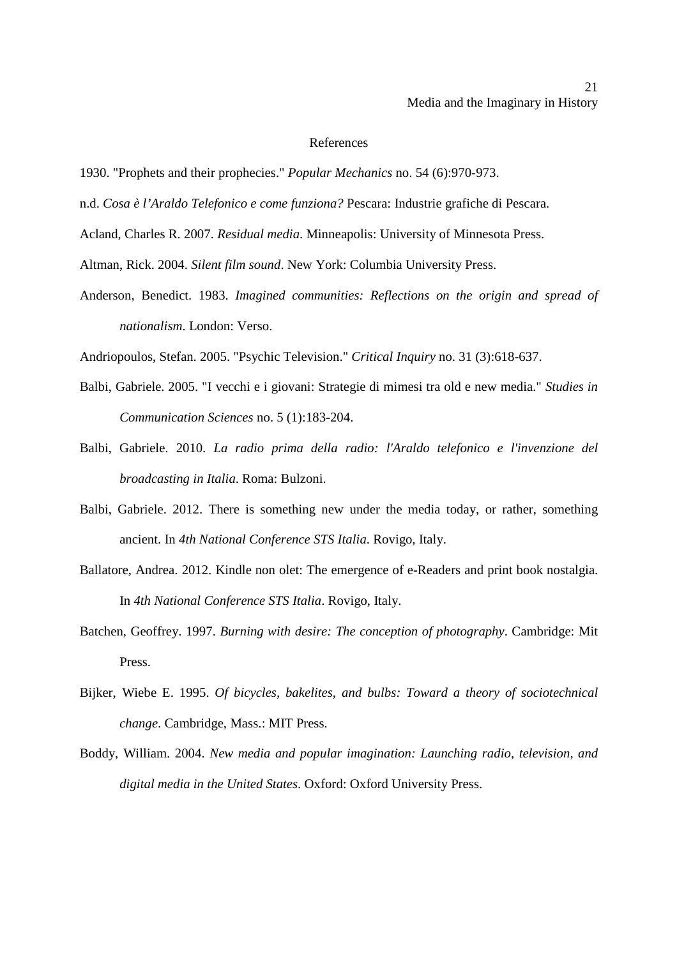#### References

- 1930. "Prophets and their prophecies." *Popular Mechanics* no. 54 (6):970-973.
- n.d. *Cosa è l'Araldo Telefonico e come funziona?* Pescara: Industrie grafiche di Pescara.
- Acland, Charles R. 2007. *Residual media*. Minneapolis: University of Minnesota Press.
- Altman, Rick. 2004. *Silent film sound*. New York: Columbia University Press.
- Anderson, Benedict. 1983. *Imagined communities: Reflections on the origin and spread of nationalism*. London: Verso.
- Andriopoulos, Stefan. 2005. "Psychic Television." *Critical Inquiry* no. 31 (3):618-637.
- Balbi, Gabriele. 2005. "I vecchi e i giovani: Strategie di mimesi tra old e new media." *Studies in Communication Sciences* no. 5 (1):183-204.
- Balbi, Gabriele. 2010. *La radio prima della radio: l'Araldo telefonico e l'invenzione del broadcasting in Italia*. Roma: Bulzoni.
- Balbi, Gabriele. 2012. There is something new under the media today, or rather, something ancient. In *4th National Conference STS Italia*. Rovigo, Italy.
- Ballatore, Andrea. 2012. Kindle non olet: The emergence of e-Readers and print book nostalgia. In *4th National Conference STS Italia*. Rovigo, Italy.
- Batchen, Geoffrey. 1997. *Burning with desire: The conception of photography*. Cambridge: Mit Press.
- Bijker, Wiebe E. 1995. *Of bicycles, bakelites, and bulbs: Toward a theory of sociotechnical change*. Cambridge, Mass.: MIT Press.
- Boddy, William. 2004. *New media and popular imagination: Launching radio, television, and digital media in the United States*. Oxford: Oxford University Press.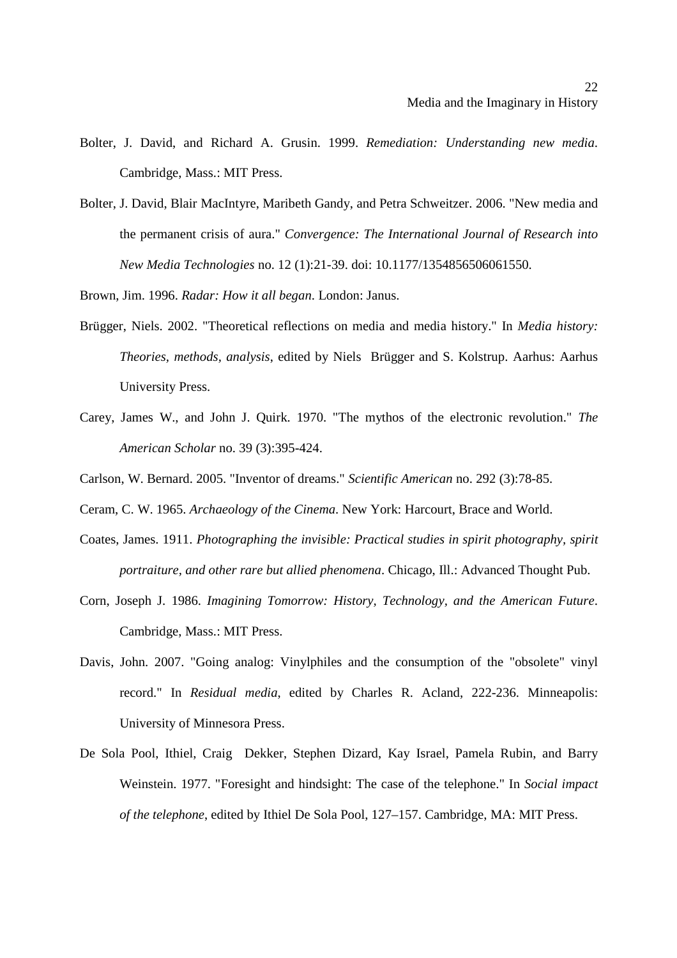- Bolter, J. David, and Richard A. Grusin. 1999. *Remediation: Understanding new media*. Cambridge, Mass.: MIT Press.
- Bolter, J. David, Blair MacIntyre, Maribeth Gandy, and Petra Schweitzer. 2006. "New media and the permanent crisis of aura." *Convergence: The International Journal of Research into New Media Technologies* no. 12 (1):21-39. doi: 10.1177/1354856506061550.

Brown, Jim. 1996. *Radar: How it all began*. London: Janus.

- Brügger, Niels. 2002. "Theoretical reflections on media and media history." In *Media history: Theories, methods, analysis*, edited by Niels Brügger and S. Kolstrup. Aarhus: Aarhus University Press.
- Carey, James W., and John J. Quirk. 1970. "The mythos of the electronic revolution." *The American Scholar* no. 39 (3):395-424.
- Carlson, W. Bernard. 2005. "Inventor of dreams." *Scientific American* no. 292 (3):78-85.
- Ceram, C. W. 1965. *Archaeology of the Cinema*. New York: Harcourt, Brace and World.
- Coates, James. 1911. *Photographing the invisible: Practical studies in spirit photography, spirit portraiture, and other rare but allied phenomena*. Chicago, Ill.: Advanced Thought Pub.
- Corn, Joseph J. 1986. *Imagining Tomorrow: History, Technology, and the American Future*. Cambridge, Mass.: MIT Press.
- Davis, John. 2007. "Going analog: Vinylphiles and the consumption of the "obsolete" vinyl record." In *Residual media*, edited by Charles R. Acland, 222-236. Minneapolis: University of Minnesora Press.
- De Sola Pool, Ithiel, Craig Dekker, Stephen Dizard, Kay Israel, Pamela Rubin, and Barry Weinstein. 1977. "Foresight and hindsight: The case of the telephone." In *Social impact of the telephone*, edited by Ithiel De Sola Pool, 127–157. Cambridge, MA: MIT Press.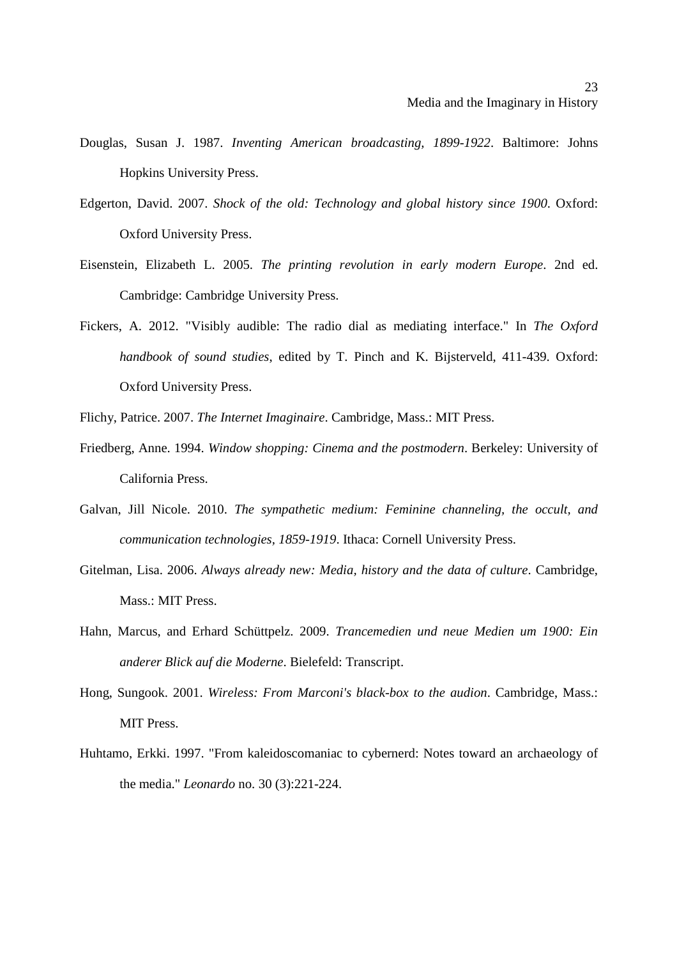- Douglas, Susan J. 1987. *Inventing American broadcasting, 1899-1922*. Baltimore: Johns Hopkins University Press.
- Edgerton, David. 2007. *Shock of the old: Technology and global history since 1900*. Oxford: Oxford University Press.
- Eisenstein, Elizabeth L. 2005. *The printing revolution in early modern Europe*. 2nd ed. Cambridge: Cambridge University Press.
- Fickers, A. 2012. "Visibly audible: The radio dial as mediating interface." In *The Oxford handbook of sound studies*, edited by T. Pinch and K. Bijsterveld, 411-439. Oxford: Oxford University Press.
- Flichy, Patrice. 2007. *The Internet Imaginaire*. Cambridge, Mass.: MIT Press.
- Friedberg, Anne. 1994. *Window shopping: Cinema and the postmodern*. Berkeley: University of California Press.
- Galvan, Jill Nicole. 2010. *The sympathetic medium: Feminine channeling, the occult, and communication technologies, 1859-1919*. Ithaca: Cornell University Press.
- Gitelman, Lisa. 2006. *Always already new: Media, history and the data of culture*. Cambridge, Mass.: MIT Press.
- Hahn, Marcus, and Erhard Schüttpelz. 2009. *Trancemedien und neue Medien um 1900: Ein anderer Blick auf die Moderne*. Bielefeld: Transcript.
- Hong, Sungook. 2001. *Wireless: From Marconi's black-box to the audion*. Cambridge, Mass.: MIT Press.
- Huhtamo, Erkki. 1997. "From kaleidoscomaniac to cybernerd: Notes toward an archaeology of the media." *Leonardo* no. 30 (3):221-224.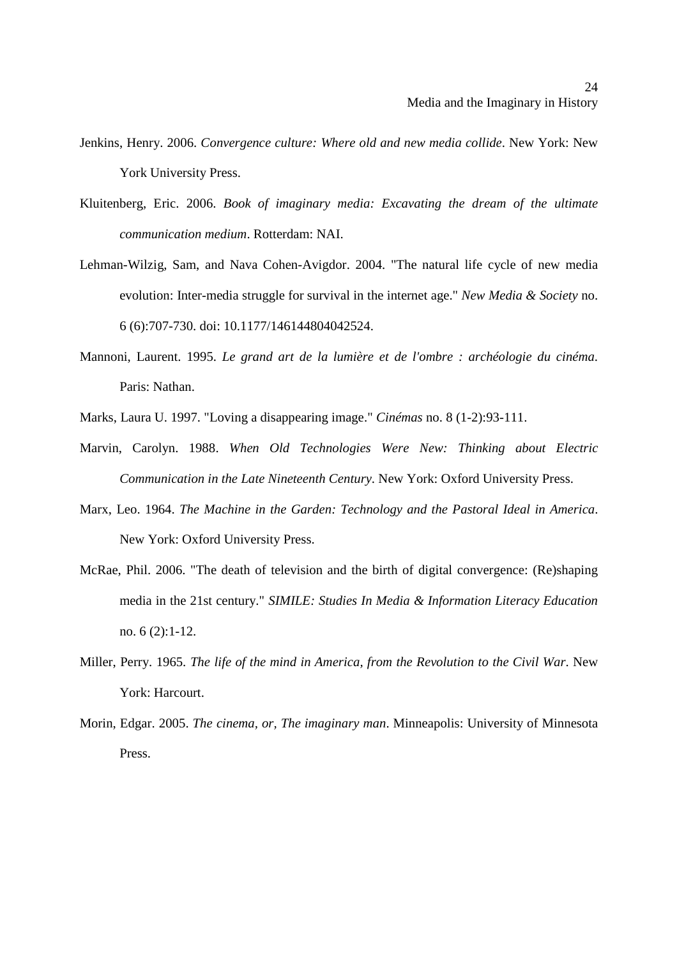- Jenkins, Henry. 2006. *Convergence culture: Where old and new media collide*. New York: New York University Press.
- Kluitenberg, Eric. 2006. *Book of imaginary media: Excavating the dream of the ultimate communication medium*. Rotterdam: NAI.
- Lehman-Wilzig, Sam, and Nava Cohen-Avigdor. 2004. "The natural life cycle of new media evolution: Inter-media struggle for survival in the internet age." *New Media & Society* no. 6 (6):707-730. doi: 10.1177/146144804042524.
- Mannoni, Laurent. 1995. *Le grand art de la lumière et de l'ombre : archéologie du cinéma*. Paris: Nathan.
- Marks, Laura U. 1997. "Loving a disappearing image." *Cinémas* no. 8 (1-2):93-111.
- Marvin, Carolyn. 1988. *When Old Technologies Were New: Thinking about Electric Communication in the Late Nineteenth Century*. New York: Oxford University Press.
- Marx, Leo. 1964. *The Machine in the Garden: Technology and the Pastoral Ideal in America*. New York: Oxford University Press.
- McRae, Phil. 2006. "The death of television and the birth of digital convergence: (Re)shaping media in the 21st century." *SIMILE: Studies In Media & Information Literacy Education* no. 6 (2):1-12.
- Miller, Perry. 1965. *The life of the mind in America, from the Revolution to the Civil War*. New York: Harcourt.
- Morin, Edgar. 2005. *The cinema, or, The imaginary man*. Minneapolis: University of Minnesota Press.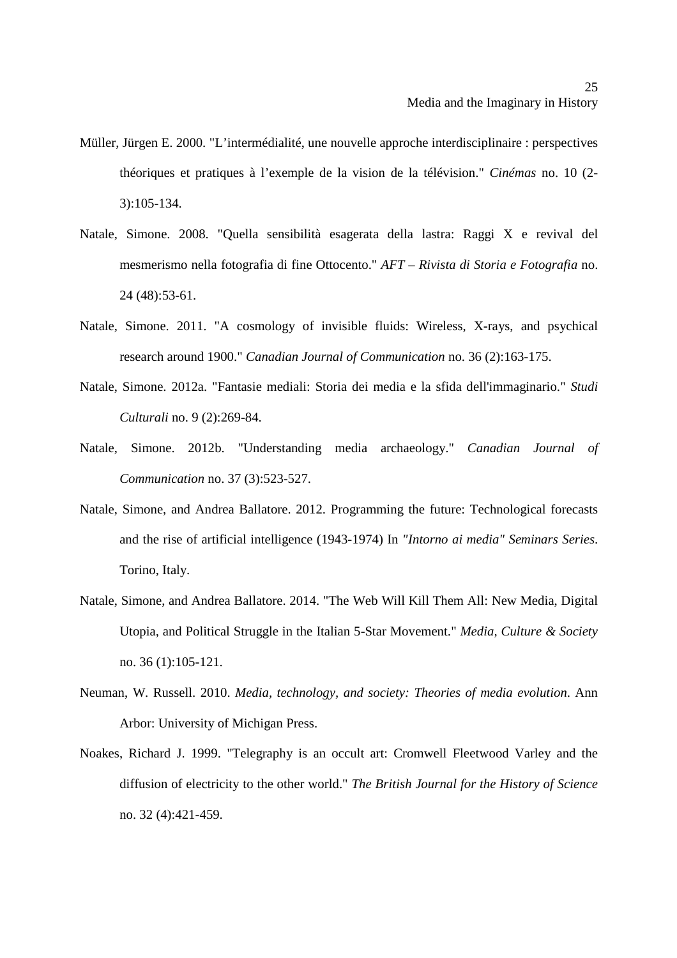- Müller, Jürgen E. 2000. "L'intermédialité, une nouvelle approche interdisciplinaire : perspectives théoriques et pratiques à l'exemple de la vision de la télévision." *Cinémas* no. 10 (2- 3):105-134.
- Natale, Simone. 2008. "Quella sensibilità esagerata della lastra: Raggi X e revival del mesmerismo nella fotografia di fine Ottocento." *AFT – Rivista di Storia e Fotografia* no. 24 (48):53-61.
- Natale, Simone. 2011. "A cosmology of invisible fluids: Wireless, X-rays, and psychical research around 1900." *Canadian Journal of Communication* no. 36 (2):163-175.
- Natale, Simone. 2012a. "Fantasie mediali: Storia dei media e la sfida dell'immaginario." *Studi Culturali* no. 9 (2):269-84.
- Natale, Simone. 2012b. "Understanding media archaeology." *Canadian Journal of Communication* no. 37 (3):523-527.
- Natale, Simone, and Andrea Ballatore. 2012. Programming the future: Technological forecasts and the rise of artificial intelligence (1943-1974) In *"Intorno ai media" Seminars Series*. Torino, Italy.
- Natale, Simone, and Andrea Ballatore. 2014. "The Web Will Kill Them All: New Media, Digital Utopia, and Political Struggle in the Italian 5-Star Movement." *Media, Culture & Society* no. 36 (1):105-121.
- Neuman, W. Russell. 2010. *Media, technology, and society: Theories of media evolution*. Ann Arbor: University of Michigan Press.
- Noakes, Richard J. 1999. "Telegraphy is an occult art: Cromwell Fleetwood Varley and the diffusion of electricity to the other world." *The British Journal for the History of Science* no. 32 (4):421-459.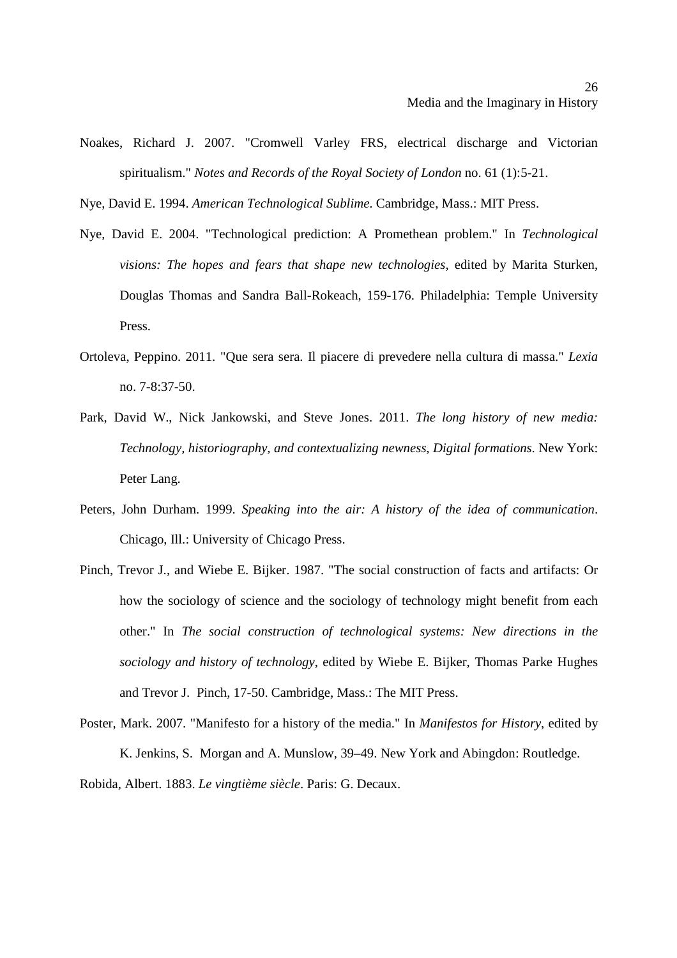Noakes, Richard J. 2007. "Cromwell Varley FRS, electrical discharge and Victorian spiritualism." *Notes and Records of the Royal Society of London* no. 61 (1):5-21.

Nye, David E. 1994. *American Technological Sublime*. Cambridge, Mass.: MIT Press.

- Nye, David E. 2004. "Technological prediction: A Promethean problem." In *Technological visions: The hopes and fears that shape new technologies*, edited by Marita Sturken, Douglas Thomas and Sandra Ball-Rokeach, 159-176. Philadelphia: Temple University Press.
- Ortoleva, Peppino. 2011. "Que sera sera. Il piacere di prevedere nella cultura di massa." *Lexia* no. 7-8:37-50.
- Park, David W., Nick Jankowski, and Steve Jones. 2011. *The long history of new media: Technology, historiography, and contextualizing newness*, *Digital formations*. New York: Peter Lang.
- Peters, John Durham. 1999. *Speaking into the air: A history of the idea of communication*. Chicago, Ill.: University of Chicago Press.
- Pinch, Trevor J., and Wiebe E. Bijker. 1987. "The social construction of facts and artifacts: Or how the sociology of science and the sociology of technology might benefit from each other." In *The social construction of technological systems: New directions in the sociology and history of technology*, edited by Wiebe E. Bijker, Thomas Parke Hughes and Trevor J. Pinch, 17-50. Cambridge, Mass.: The MIT Press.
- Poster, Mark. 2007. "Manifesto for a history of the media." In *Manifestos for History*, edited by K. Jenkins, S. Morgan and A. Munslow, 39–49. New York and Abingdon: Routledge.

Robida, Albert. 1883. *Le vingtième siècle*. Paris: G. Decaux.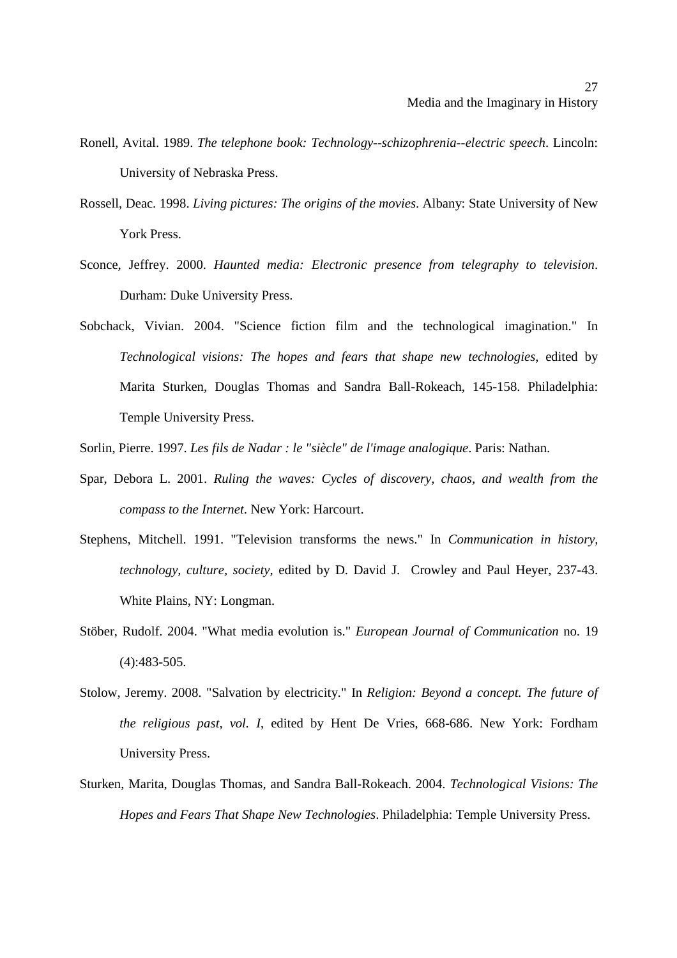- Ronell, Avital. 1989. *The telephone book: Technology--schizophrenia--electric speech*. Lincoln: University of Nebraska Press.
- Rossell, Deac. 1998. *Living pictures: The origins of the movies*. Albany: State University of New York Press.
- Sconce, Jeffrey. 2000. *Haunted media: Electronic presence from telegraphy to television*. Durham: Duke University Press.
- Sobchack, Vivian. 2004. "Science fiction film and the technological imagination." In *Technological visions: The hopes and fears that shape new technologies*, edited by Marita Sturken, Douglas Thomas and Sandra Ball-Rokeach, 145-158. Philadelphia: Temple University Press.
- Sorlin, Pierre. 1997. *Les fils de Nadar : le "siècle" de l'image analogique*. Paris: Nathan.
- Spar, Debora L. 2001. *Ruling the waves: Cycles of discovery, chaos, and wealth from the compass to the Internet*. New York: Harcourt.
- Stephens, Mitchell. 1991. "Television transforms the news." In *Communication in history, technology, culture, society*, edited by D. David J. Crowley and Paul Heyer, 237-43. White Plains, NY: Longman.
- Stöber, Rudolf. 2004. "What media evolution is." *European Journal of Communication* no. 19 (4):483-505.
- Stolow, Jeremy. 2008. "Salvation by electricity." In *Religion: Beyond a concept. The future of the religious past, vol. I*, edited by Hent De Vries, 668-686. New York: Fordham University Press.
- Sturken, Marita, Douglas Thomas, and Sandra Ball-Rokeach. 2004. *Technological Visions: The Hopes and Fears That Shape New Technologies*. Philadelphia: Temple University Press.